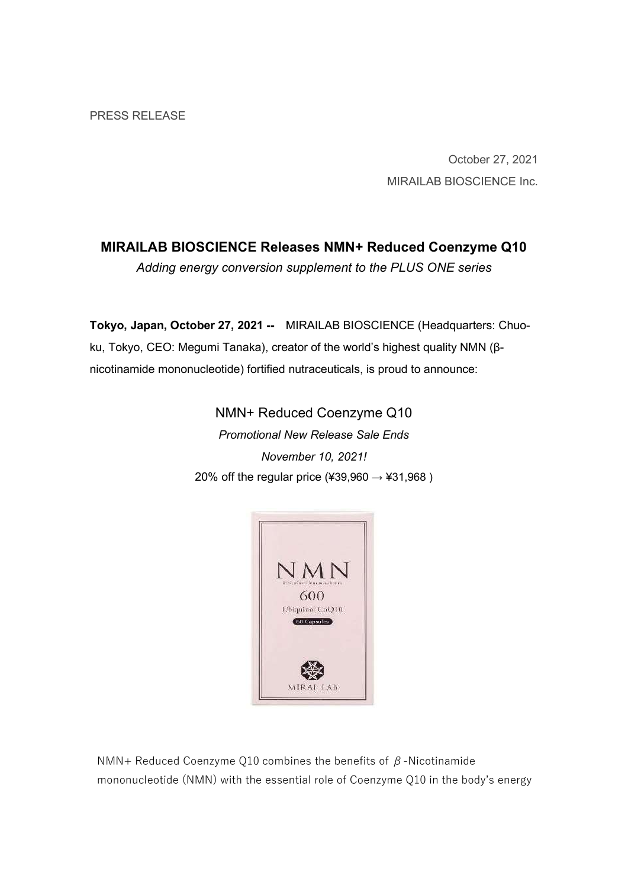October 27, 2021 MIRAILAB BIOSCIENCE Inc.

# MIRAILAB BIOSCIENCE Releases NMN+ Reduced Coenzyme Q10

Adding energy conversion supplement to the PLUS ONE series

Tokyo, Japan, October 27, 2021 -- MIRAILAB BIOSCIENCE (Headquarters: Chuoku, Tokyo, CEO: Megumi Tanaka), creator of the world's highest quality NMN (βnicotinamide mononucleotide) fortified nutraceuticals, is proud to announce:

> NMN+ Reduced Coenzyme Q10 Promotional New Release Sale Ends November 10, 2021! 20% off the regular price (¥39,960  $\rightarrow$  ¥31,968)



NMN+ Reduced Coenzyme Q10 combines the benefits of  $\beta$ -Nicotinamide mononucleotide (NMN) with the essential role of Coenzyme Q10 in the body's energy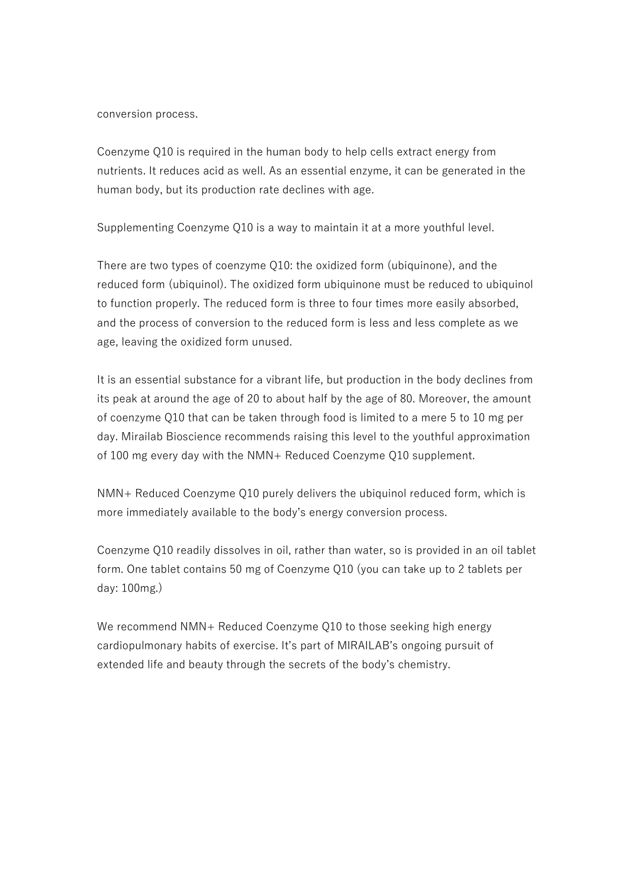conversion process.

Coenzyme Q10 is required in the human body to help cells extract energy from nutrients. It reduces acid as well. As an essential enzyme, it can be generated in the human body, but its production rate declines with age.

Supplementing Coenzyme Q10 is a way to maintain it at a more youthful level.

There are two types of coenzyme Q10: the oxidized form (ubiquinone), and the reduced form (ubiquinol). The oxidized form ubiquinone must be reduced to ubiquinol to function properly. The reduced form is three to four times more easily absorbed, and the process of conversion to the reduced form is less and less complete as we age, leaving the oxidized form unused.

It is an essential substance for a vibrant life, but production in the body declines from its peak at around the age of 20 to about half by the age of 80. Moreover, the amount of coenzyme Q10 that can be taken through food is limited to a mere 5 to 10 mg per day. Mirailab Bioscience recommends raising this level to the youthful approximation of 100 mg every day with the NMN+ Reduced Coenzyme Q10 supplement.

NMN+ Reduced Coenzyme Q10 purely delivers the ubiquinol reduced form, which is more immediately available to the body's energy conversion process.

Coenzyme Q10 readily dissolves in oil, rather than water, so is provided in an oil tablet form. One tablet contains 50 mg of Coenzyme Q10 (you can take up to 2 tablets per day: 100mg.)

We recommend NMN+ Reduced Coenzyme Q10 to those seeking high energy cardiopulmonary habits of exercise. It's part of MIRAILAB's ongoing pursuit of extended life and beauty through the secrets of the body's chemistry.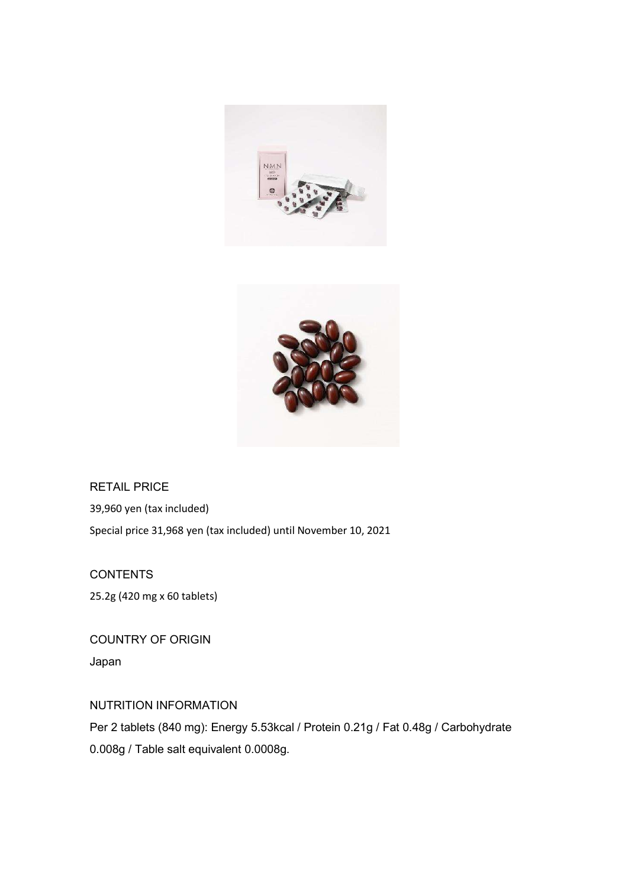



RETAIL PRICE 39,960 yen (tax included) Special price 31,968 yen (tax included) until November 10, 2021

**CONTENTS** 25.2g (420 mg x 60 tablets)

COUNTRY OF ORIGIN Japan

# NUTRITION INFORMATION

Per 2 tablets (840 mg): Energy 5.53kcal / Protein 0.21g / Fat 0.48g / Carbohydrate 0.008g / Table salt equivalent 0.0008g.